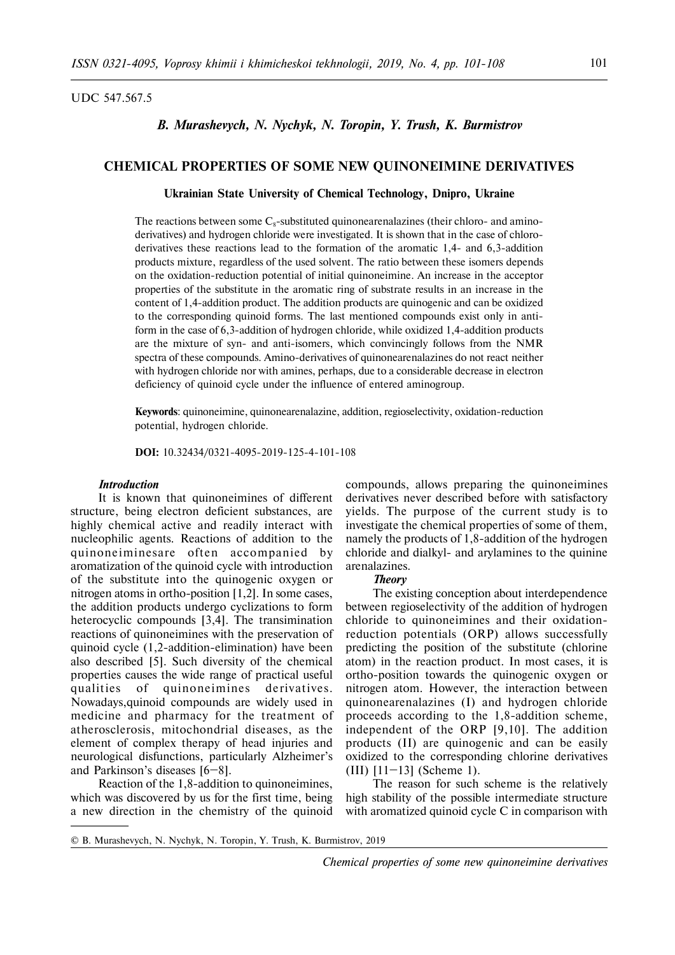### UDC 547.567.5

# *B. Murashevych, N. Nychyk, N. Toropin, Y. Trush, K. Burmistrov*

# **CHEMICAL PROPERTIES OF SOME NEW QUINONEIMINE DERIVATIVES**

## **Ukrainian State University of Chemical Technology, Dnipro, Ukraine**

The reactions between some  $C_8$ -substituted quinonearenalazines (their chloro- and aminoderivatives) and hydrogen chloride were investigated. It is shown that in the case of chloroderivatives these reactions lead to the formation of the aromatic 1,4- and 6,3-addition products mixture, regardless of the used solvent. The ratio between these isomers depends on the oxidation-reduction potential of initial quinoneimine. An increase in the acceptor properties of the substitute in the aromatic ring of substrate results in an increase in the content of 1,4-addition product. The addition products are quinogenic and can be oxidized to the corresponding quinoid forms. The last mentioned compounds exist only in antiform in the case of 6,3-addition of hydrogen chloride, while oxidized 1,4-addition products are the mixture of syn- and anti-isomers, which convincingly follows from the NMR spectra of these compounds. Amino-derivatives of quinonearenalazines do not react neither with hydrogen chloride nor with amines, perhaps, due to a considerable decrease in electron deficiency of quinoid cycle under the influence of entered aminogroup.

**Keywords**: quinoneimine, quinonearenalazine, addition, regioselectivity, oxidation-reduction potential, hydrogen chloride.

**DOI:** 10.32434/0321-4095-2019-125-4-101-108

## *Introduction*

It is known that quinoneimines of different structure, being electron deficient substances, are highly chemical active and readily interact with nucleophilic agents. Reactions of addition to the quinone iminesare often accompanied by aromatization of the quinoid cycle with introduction of the substitute into the quinogenic oxygen or nitrogen atoms in ortho-position [1,2]. In some cases, the addition products undergo cyclizations to form heterocyclic compounds [3,4]. The transimination reactions of quinoneimines with the preservation of quinoid cycle (1,2-addition-elimination) have been also described [5]. Such diversity of the chemical properties causes the wide range of practical useful qualities of quinoneimines derivatives. Nowadays,quinoid compounds are widely used in medicine and pharmacy for the treatment of atherosclerosis, mitochondrial diseases, as the element of complex therapy of head injuries and neurological disfunctions, particularly Alzheimer's and Parkinson's diseases [6–8].

Reaction of the 1,8-addition to quinoneimines, which was discovered by us for the first time, being a new direction in the chemistry of the quinoid compounds, allows preparing the quinoneimines derivatives never described before with satisfactory yields. The purpose of the current study is to investigate the chemical properties of some of them, namely the products of 1,8-addition of the hydrogen chloride and dialkyl- and arylamines to the quinine arenalazines.

### *Theory*

The existing conception about interdependence between regioselectivity of the addition of hydrogen chloride to quinoneimines and their oxidationreduction potentials (ORP) allows successfully predicting the position of the substitute (chlorine atom) in the reaction product. In most cases, it is ortho-position towards the quinogenic oxygen or nitrogen atom. However, the interaction between quinonearenalazines (I) and hydrogen chloride proceeds according to the 1,8-addition scheme, independent of the ORP [9,10]. The addition products (II) are quinogenic and can be easily oxidized to the corresponding chlorine derivatives (III)  $[11-13]$  (Scheme 1).

The reason for such scheme is the relatively high stability of the possible intermediate structure with aromatized quinoid cycle C in comparison with

<sup>©</sup> B. Murashevych, N. Nychyk, N. Toropin, Y. Trush, K. Burmistrov, 2019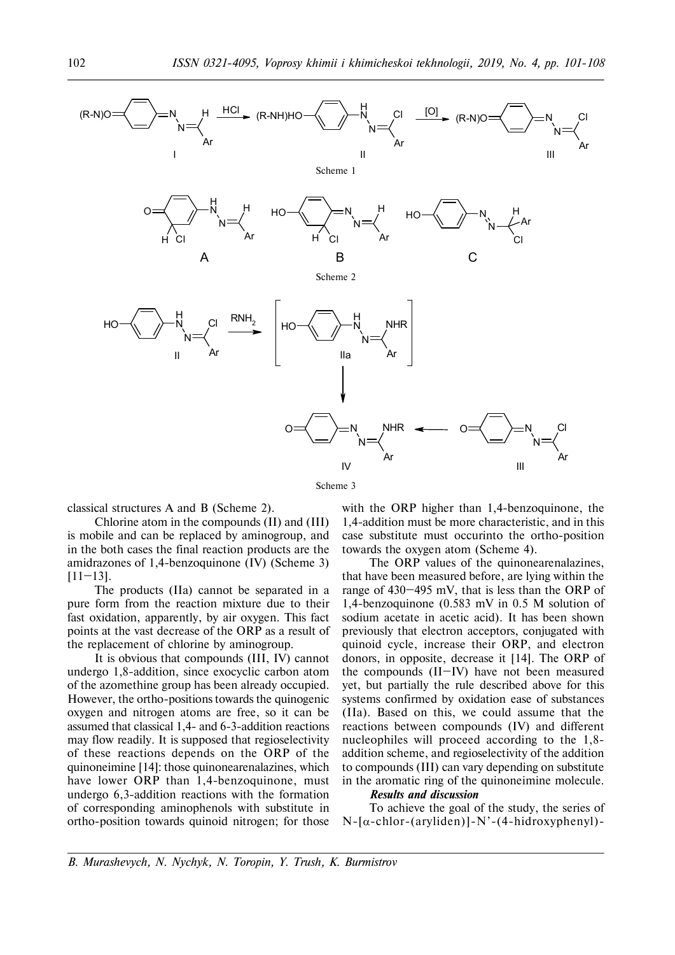

Scheme 3

classical structures A and B (Scheme 2).

Chlorine atom in the compounds (II) and (III) is mobile and can be replaced by aminogroup, and in the both cases the final reaction products are the amidrazones of 1,4-benzoquinone (IV) (Scheme 3)  $[11-13]$ .

The products (IIa) cannot be separated in a pure form from the reaction mixture due to their fast oxidation, apparently, by air oxygen. This fact points at the vast decrease of the ORP as a result of the replacement of chlorine by aminogroup.

It is obvious that compounds (III, IV) cannot undergo 1,8-addition, since exocyclic carbon atom of the azomethine group has been already occupied. However, the ortho-positions towards the quinogenic oxygen and nitrogen atoms are free, so it can be assumed that classical 1,4- and 6-3-addition reactions may flow readily. It is supposed that regioselectivity of these reactions depends on the ORP of the quinoneimine [14]: those quinonearenalazines, which have lower ORP than 1,4-benzoquinone, must undergo 6,3-addition reactions with the formation of corresponding aminophenols with substitute in ortho-position towards quinoid nitrogen; for those

with the ORP higher than 1,4-benzoquinone, the 1,4-addition must be more characteristic, and in this case substitute must occurinto the ortho-position towards the oxygen atom (Scheme 4).

The ORP values of the quinonearenalazines, that have been measured before, are lying within the range of 430–495 mV, that is less than the ORP of 1,4-benzoquinone (0.583 mV in 0.5 M solution of sodium acetate in acetic acid). It has been shown previously that electron acceptors, conjugated with quinoid cycle, increase their ORP, and electron donors, in opposite, decrease it [14]. The ORP of the compounds (II–IV) have not been measured yet, but partially the rule described above for this systems confirmed by oxidation ease of substances (IIa). Based on this, we could assume that the reactions between compounds (IV) and different nucleophiles will proceed according to the 1,8 addition scheme, and regioselectivity of the addition to compounds (III) can vary depending on substitute in the aromatic ring of the quinoneimine molecule.

# *Results and discussion*

To achieve the goal of the study, the series of  $N-\alpha$ -chlor-(aryliden)]-N'-(4-hidroxyphenyl)-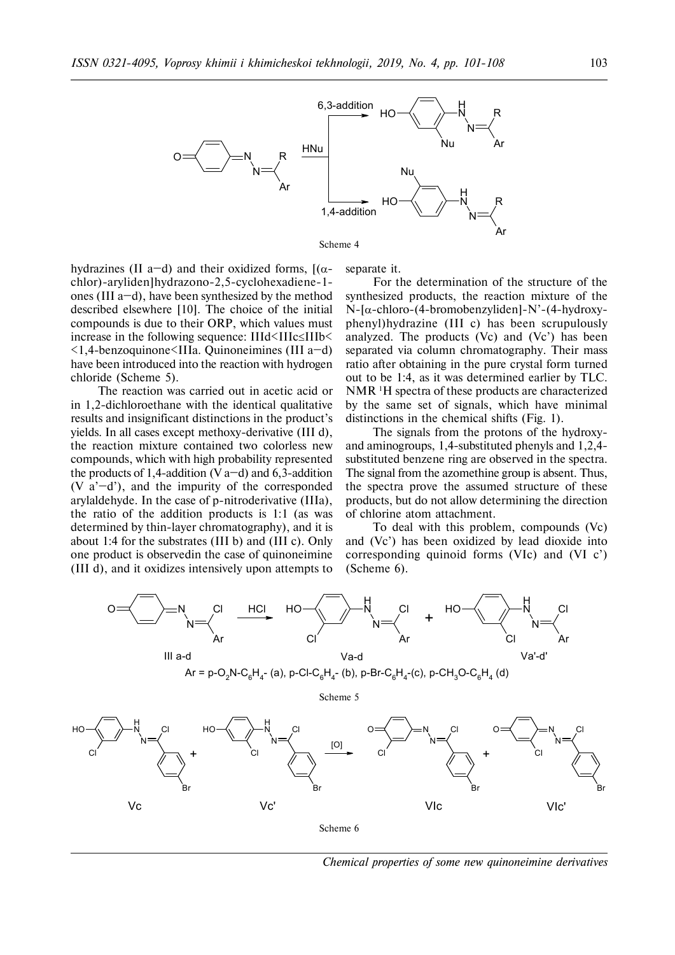

Scheme 4

hydrazines (II a–d) and their oxidized forms,  $[(\alpha$ chlor)-aryliden]hydrazono-2,5-cyclohexadiene-1 ones (III a–d), have been synthesized by the method described elsewhere [10]. The choice of the initial compounds is due to their ORP, which values must increase in the following sequence:  $IIId \leq IIIC \leq IIIb \leq$ <1,4-benzoquinone<IIIa. Quinoneimines (III a–d) have been introduced into the reaction with hydrogen chloride (Scheme 5).

The reaction was carried out in acetic acid or in 1,2-dichloroethane with the identical qualitative results and insignificant distinctions in the product's yields. In all cases except methoxy-derivative (III d), the reaction mixture contained two colorless new compounds, which with high probability represented the products of 1,4-addition (V  $a-d$ ) and 6,3-addition  $(V \t a<sup>3</sup>-d<sup>3</sup>)$ , and the impurity of the corresponded arylaldehyde. In the case of p-nitroderivative (IIIa), the ratio of the addition products is 1:1 (as was determined by thin-layer chromatography), and it is about 1:4 for the substrates (III b) and (III c). Only one product is observedin the case of quinoneimine (III d), and it oxidizes intensively upon attempts to

separate it.

For the determination of the structure of the synthesized products, the reaction mixture of the  $N-[a]$ -chloro-(4-bromobenzyliden]-N'-(4-hydroxyphenyl)hydrazine (III c) has been scrupulously analyzed. The products (Vc) and (Vc') has been separated via column chromatography. Their mass ratio after obtaining in the pure crystal form turned out to be 1:4, as it was determined earlier by TLC. NMR <sup>1</sup>H spectra of these products are characterized by the same set of signals, which have minimal distinctions in the chemical shifts (Fig. 1).

The signals from the protons of the hydroxyand aminogroups, 1,4-substituted phenyls and 1,2,4 substituted benzene ring are observed in the spectra. The signal from the azomethine group is absent. Thus, the spectra prove the assumed structure of these products, but do not allow determining the direction of chlorine atom attachment.

To deal with this problem, compounds (Vc) and (Vc') has been oxidized by lead dioxide into corresponding quinoid forms (VIc) and (VI c') (Scheme 6).



*Chemical properties of some new quinoneimine derivatives*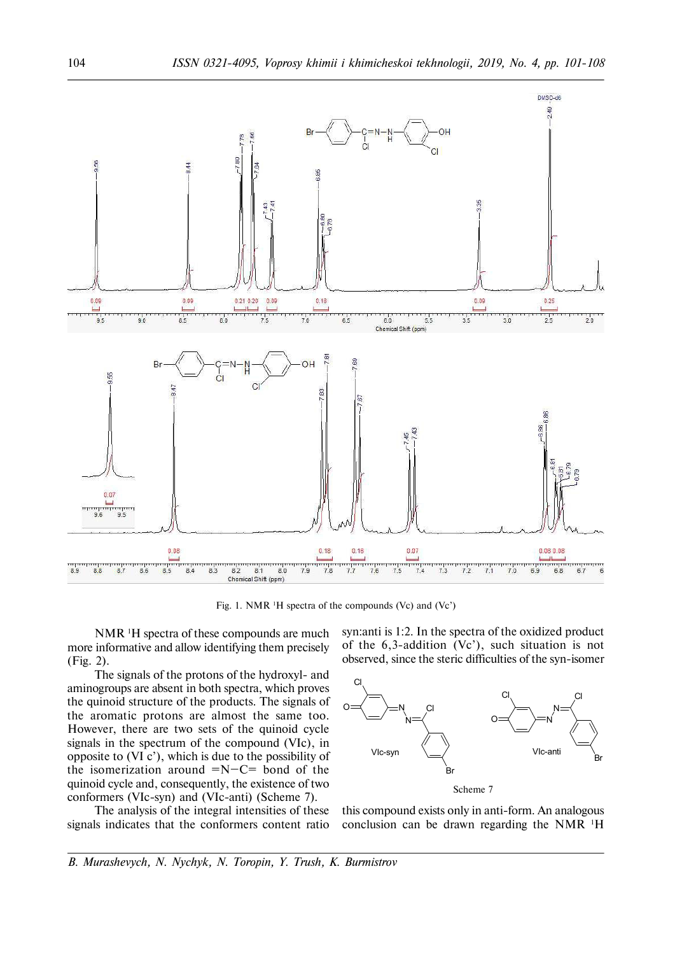

Fig. 1. NMR 1H spectra of the compounds (Vc) and (Vc')

NMR<sup>1</sup>H spectra of these compounds are much more informative and allow identifying them precisely (Fig. 2).

The signals of the protons of the hydroxyl- and aminogroups are absent in both spectra, which proves the quinoid structure of the products. The signals of the aromatic protons are almost the same too. However, there are two sets of the quinoid cycle signals in the spectrum of the compound (VIc), in opposite to (VI c'), which is due to the possibility of the isomerization around  $=N-C=$  bond of the quinoid cycle and, consequently, the existence of two conformers (VIc-syn) and (VIc-anti) (Scheme 7).

The analysis of the integral intensities of these signals indicates that the conformers content ratio syn:anti is 1:2. In the spectra of the oxidized product of the 6,3-addition (Vc'), such situation is not observed, since the steric difficulties of the syn-isomer



this compound exists only in anti-form. An analogous conclusion can be drawn regarding the NMR 1H

*B. Murashevych, N. Nychyk, N. Toropin, Y. Trush, K. Burmistrov*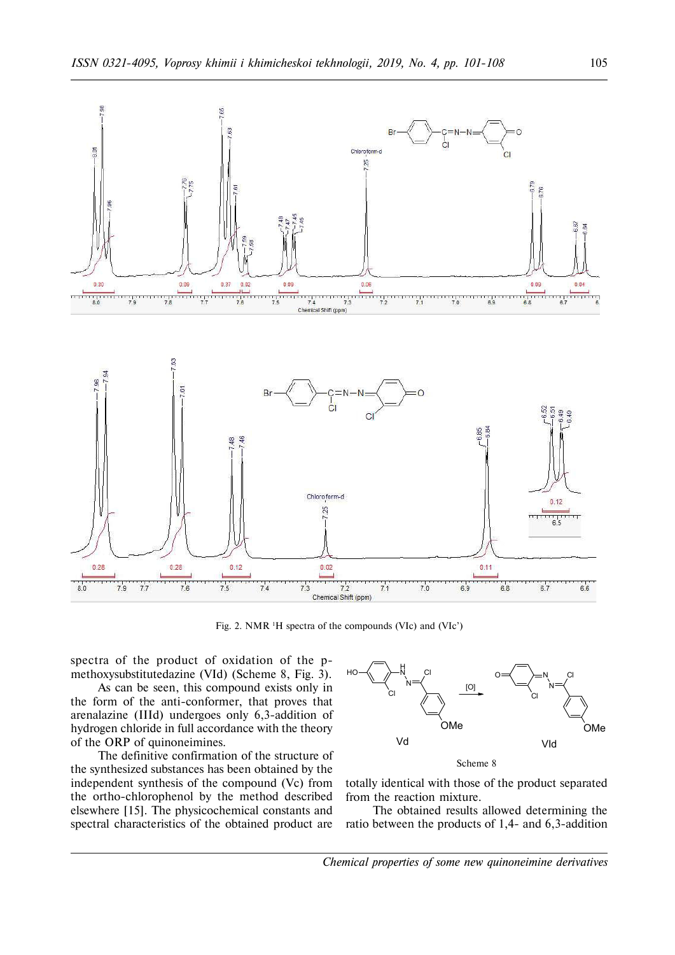

Fig. 2. NMR 1H spectra of the compounds (VIc) and (VIc')

spectra of the product of oxidation of the pmethoxysubstitutedazine (VId) (Scheme 8, Fig. 3).

As can be seen, this compound exists only in the form of the anti-conformer, that proves that arenalazine (IIId) undergoes only 6,3-addition of hydrogen chloride in full accordance with the theory of the ORP of quinoneimines.

The definitive confirmation of the structure of the synthesized substances has been obtained by the independent synthesis of the compound (Vc) from the ortho-chlorophenol by the method described elsewhere [15]. The physicochemical constants and spectral characteristics of the obtained product are



totally identical with those of the product separated from the reaction mixture.

The obtained results allowed determining the ratio between the products of 1,4- and 6,3-addition

*Chemical properties of some new quinoneimine derivatives*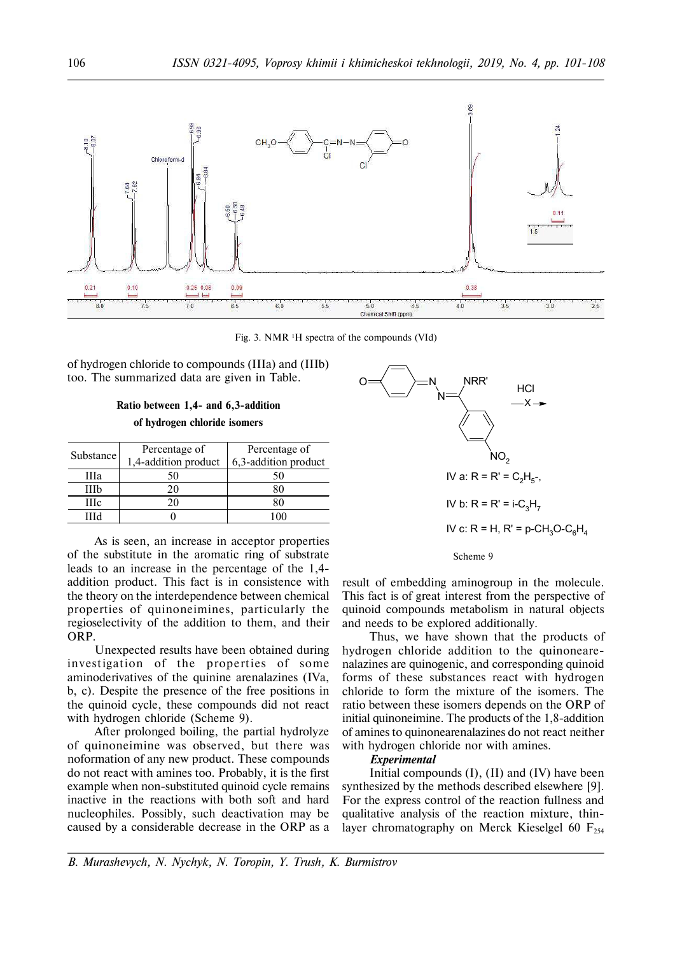

Fig. 3. NMR 1H spectra of the compounds (VId)

of hydrogen chloride to compounds (IIIa) and (IIIb) too. The summarized data are given in Table.

|  |  | Ratio between 1,4- and 6,3-addition |  |
|--|--|-------------------------------------|--|
|  |  | of hydrogen chloride isomers        |  |

| Substance | Percentage of        | Percentage of           |
|-----------|----------------------|-------------------------|
|           | 1,4-addition product | $6,3$ -addition product |
| Шa        | 50                   |                         |
| IIIb      | 20                   |                         |
| Шc        | 2Ο                   |                         |
| шч        |                      |                         |

As is seen, an increase in acceptor properties of the substitute in the aromatic ring of substrate leads to an increase in the percentage of the 1,4 addition product. This fact is in consistence with the theory on the interdependence between chemical properties of quinoneimines, particularly the regioselectivity of the addition to them, and their ORP.

Unexpected results have been obtained during investigation of the properties of some aminoderivatives of the quinine arenalazines (IVà, b, c). Despite the presence of the free positions in the quinoid cycle, these compounds did not react with hydrogen chloride (Scheme 9).

After prolonged boiling, the partial hydrolyze of quinoneimine was observed, but there was noformation of any new product. These compounds do not react with amines too. Probably, it is the first example when non-substituted quinoid cycle remains inactive in the reactions with both soft and hard nucleophiles. Possibly, such deactivation may be caused by a considerable decrease in the ORP as a



Scheme 9

result of embedding aminogroup in the molecule. This fact is of great interest from the perspective of quinoid compounds metabolism in natural objects and needs to be explored additionally.

Thus, we have shown that the products of hydrogen chloride addition to the quinonearenalazines are quinogenic, and corresponding quinoid forms of these substances react with hydrogen chloride to form the mixture of the isomers. The ratio between these isomers depends on the ORP of initial quinoneimine. The products of the 1,8-addition of amines to quinonearenalazines do not react neither with hydrogen chloride nor with amines.

#### *Experimental*

Initial compounds  $(I)$ ,  $(II)$  and  $(IV)$  have been synthesized by the methods described elsewhere [9]. For the express control of the reaction fullness and qualitative analysis of the reaction mixture, thinlayer chromatography on Merck Kieselgel 60  $F_{254}$ 

*B. Murashevych, N. Nychyk, N. Toropin, Y. Trush, K. Burmistrov*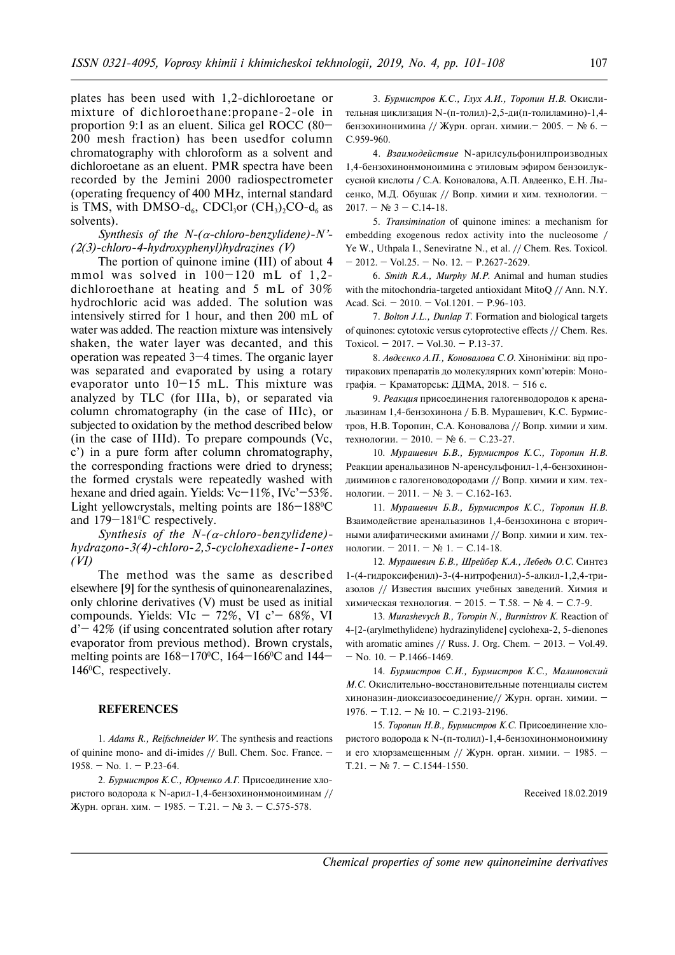plates has been used with 1,2-dichloroetane or mixture of dichloroethane:propane-2-ole in proportion 9:1 as an eluent. Silica gel ROCC (80– 200 mesh fraction) has been usedfor column chromatography with chloroform as a solvent and dichloroetane as an eluent. PMR spectra have been recorded by the Jemini 2000 radiospectrometer (operating frequency of 400 MHz, internal standard is TMS, with DMSO-d<sub>6</sub>, CDCl<sub>3</sub>or  $(\text{CH}_3)_2$ CO-d<sub>6</sub> as solvents).

*Synthesis of the N-(* $\alpha$ *-chloro-benzylidene)-N'*-*(2(3)-chloro-4-hydroxyphenyl)hydrazines (V)*

The portion of quinone imine (III) of about 4 mmol was solved in  $100-120$  mL of  $1,2$ dichloroethane at heating and 5 mL of 30% hydrochloric acid was added. The solution was intensively stirred for 1 hour, and then 200 mL of water was added. The reaction mixture was intensively shaken, the water layer was decanted, and this operation was repeated 3–4 times. The organic layer was separated and evaporated by using a rotary evaporator unto  $10-15$  mL. This mixture was analyzed by TLC (for IIIa, b), or separated via column chromatography (in the case of IIIc), or subjected to oxidation by the method described below (in the case of IIId). To prepare compounds (Vc, c') in a pure form after column chromatography, the corresponding fractions were dried to dryness; the formed crystals were repeatedly washed with hexane and dried again. Yields: Vc-11%, IVc'-53%. Light yellowcrystals, melting points are 186-188°C and 179–181<sup>o</sup>C respectively.

*Synthesis of the N-(α-chloro-benzylidene)hydrazono-3(4)-chloro-2,5-cyclohexadiene-1-ones (VI)*

The method was the same as described elsewhere [9] for the synthesis of quinonearenalazines, only chlorine derivatives (V) must be used as initial compounds. Yields: VIc  $-72\%$ , VI c' $-68\%$ , VI  $d'$  – 42% (if using concentrated solution after rotary evaporator from previous method). Brown crystals, melting points are  $168-170$ °C,  $164-166$ °C and  $144-$ 146<sup>o</sup>C, respectively.

### **REFERENCES**

1. *Adams R., Reifschneider W.* The synthesis and reactions of quinine mono- and di-imides // Bull. Chem. Soc. France. – 1958. – No. 1. – P.23-64.

2. *Бурмистров К.С., Юрченко А.Г.* Присоединение хлористого водорода к N-арил-1,4-бензохинонмоноиминам // Журн. орган. хим. – 1985. – Т.21. – № 3. – С.575-578.

3. Бурмистров К.С., Глух А.И., Торопин Н.В. Окислительная циклизация N-(п-толил)-2,5-ди(п-толиламино)-1,4бензохинонимина // Журн. орган. химии. – 2005. – № 6. – C.959-960.

4. Взаимодействие N-арилсульфонилпроизводных 1,4-бензохинонмоноимина с этиловым эфиром бензоилуксусной кислоты / С.А. Коновалова, А.П. Авдеенко, Е.Н. Лысенко, М.Д. Обушак // Вопр. химии и хим. технологии. –  $2017. - N$ <sub>2</sub> 3 – C.14-18.

5. *Transimination* of quinone imines: a mechanism for embedding exogenous redox activity into the nucleosome / Ye W., Uthpala I., Seneviratne N., et al. // Chem. Res. Toxicol.  $-$  2012. – Vol.25. – No. 12. – P.2627-2629.

6. *Smith R.A., Murphy M.P.* Animal and human studies with the mitochondria-targeted antioxidant MitoQ // Ann. N.Y. Acad. Sci. – 2010. – Vol.1201. – P.96-103.

7. *Bolton J.L., Dunlap T.* Formation and biological targets of quinones: cytotoxic versus cytoprotective effects // Chem. Res. Toxicol. – 2017. – Vol.30. – P.13-37.

8. Авдєєнко А.П., Коновалова С.О. Хіноніміни: від протиракових препаратів до молекулярних комп'ютерів: Монографія. – Краматорськ: ДДМА, 2018. – 516 с.

9. Реакция присоединения галогенводородов к аренальазинам 1,4-бензохинона / Б.В. Мурашевич, К.С. Бурмистров, Н.В. Торопин, С.А. Коновалова // Вопр. химии и хим. технологии. – 2010. – № 6. – С.23-27.

10. *Мурашевич Б.В., Бурмистров К.С., Торопин Н.В.* Реакции аренальазинов N-аренсульфонил-1,4-бензохинондииминов с галогеноводородами // Вопр. химии и хим. технологии. – 2011. – № 3. – С.162-163.

11. *Мурашевич Б.В., Бурмистров К.С., Торопин Н.В.* Взаимодействие аренальазинов 1,4-бензохинона с вторичными алифатическими аминами // Вопр. химии и хим. технологии. – 2011. –  $N_2$  1. – С.14-18.

12. *Мурашевич Б.В., Шрейбер К.А., Лебедь О.С.* Синтез 1-(4-гидроксифенил)-3-(4-нитрофенил)-5-алкил-1,2,4-триазолов // Известия высших учебных заведений. Химия и химическая технология. – 2015. – Т.58. – № 4. – С.7-9.

13. *Murashevych B., Toropin N., Burmistrov K.* Reaction of 4-[2-(arylmethylidene) hydrazinylidene] cyclohexa-2, 5-dienones with aromatic amines  $//$  Russ. J. Org. Chem.  $-$  2013.  $-$  Vol.49.  $-$  No. 10.  $-$  P.1466-1469.

14. *Бурмистров С.И., Бурмистров К.С., Малиновский М.С.* Окислительно-восстановительные потенциалы систем хиноназин-диоксиазосоединение// Журн. орган. химии. - $1976. - T.12. - N<sub>2</sub>$  10. – C.2193-2196.

15. Торопин Н.В., Бурмистров К.С. Присоединение хлористого водорода к N-(п-толил)-1,4-бензохинонмоноимину и его хлорзамещенным // Журн. орган. химии. – 1985. –  $T.21. - N<sub>2</sub>$  7. – C.1544-1550.

Received 18.02.2019

*Chemical properties of some new quinoneimine derivatives*